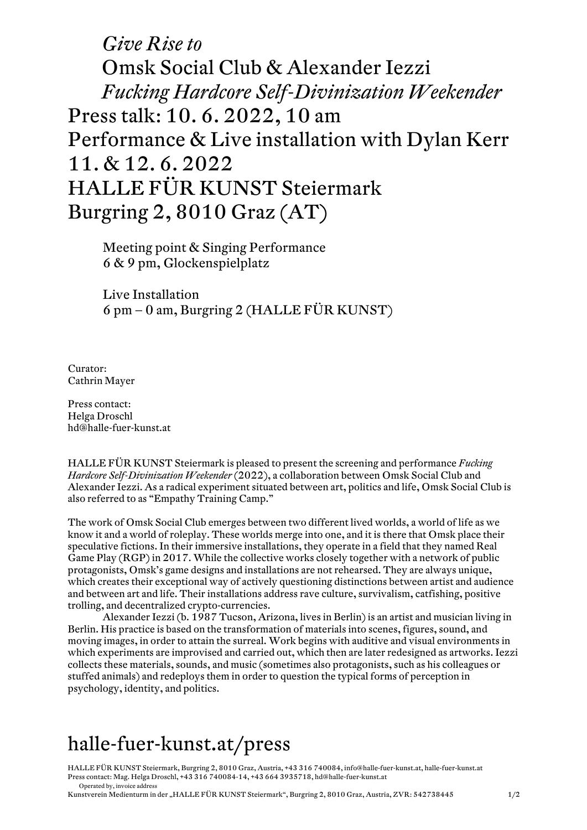## *Give Rise to* Omsk Social Club & Alexander Iezzi *Fucking Hardcore Self-Divinization Weekender* Press talk: 10. 6. 2022, 10 am Performance & Live installation with Dylan Kerr 11. & 12. 6. 2022 HALLE FÜR KUNST Steiermark Burgring 2, 8010 Graz (AT)

Meeting point & Singing Performance 6 & 9 pm, Glockenspielplatz

Live Installation 6 pm – 0 am, Burgring 2 (HALLE FÜR KUNST)

Curator: Cathrin Mayer

Press contact: Helga Droschl hd@halle-fuer-kunst.at

HALLE FÜR KUNST Steiermark is pleased to present the screening and performance *Fucking Hardcore Self-Divinization Weekender* (2022), a collaboration between Omsk Social Club and Alexander Iezzi. As a radical experiment situated between art, politics and life, Omsk Social Club is also referred to as "Empathy Training Camp."

The work of Omsk Social Club emerges between two different lived worlds, a world of life as we know it and a world of roleplay. These worlds merge into one, and it is there that Omsk place their speculative fictions. In their immersive installations, they operate in a field that they named Real Game Play (RGP) in 2017. While the collective works closely together with a network of public protagonists, Omsk's game designs and installations are not rehearsed. They are always unique, which creates their exceptional way of actively questioning distinctions between artist and audience and between art and life. Their installations address rave culture, survivalism, catfishing, positive trolling, and decentralized crypto-currencies.

Alexander Iezzi (b. 1987 Tucson, Arizona, lives in Berlin) is an artist and musician living in Berlin. His practice is based on the transformation of materials into scenes, figures, sound, and moving images, in order to attain the surreal. Work begins with auditive and visual environments in which experiments are improvised and carried out, which then are later redesigned as artworks. Iezzi collects these materials, sounds, and music (sometimes also protagonists, such as his colleagues or stuffed animals) and redeploys them in order to question the typical forms of perception in psychology, identity, and politics.

## halle-fuer-kunst.at/press

HALLE FÜR KUNST Steiermark, Burgring 2, 8010 Graz, Austria, +43 316 740084, info@halle-fuer-kunst.at, halle-fuer-kunst.at Press contact: Mag. Helga Droschl, +43 316 740084-14, +43 664 3935718, hd@halle-fuer-kunst.at Operated by, invoice address

Kunstverein Medienturm in der "HALLE FÜR KUNST Steiermark", Burgring 2, 8010 Graz, Austria, ZVR: 542738445 1/2